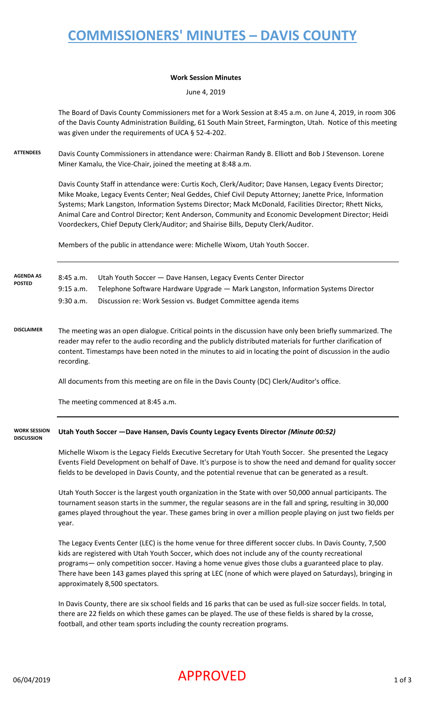# **COMMISSIONERS' MINUTES – DAVIS COUNTY**

#### **Work Session Minutes**

June 4, 2019

The Board of Davis County Commissioners met for a Work Session at 8:45 a.m. on June 4, 2019, in room 306 of the Davis County Administration Building, 61 South Main Street, Farmington, Utah. Notice of this meeting was given under the requirements of UCA § 52-4-202.

**ATTENDEES** Davis County Commissioners in attendance were: Chairman Randy B. Elliott and Bob J Stevenson. Lorene Miner Kamalu, the Vice-Chair, joined the meeting at 8:48 a.m.

> Davis County Staff in attendance were: Curtis Koch, Clerk/Auditor; Dave Hansen, Legacy Events Director; Mike Moake, Legacy Events Center; Neal Geddes, Chief Civil Deputy Attorney; Janette Price, Information Systems; Mark Langston, Information Systems Director; Mack McDonald, Facilities Director; Rhett Nicks, Animal Care and Control Director; Kent Anderson, Community and Economic Development Director; Heidi Voordeckers, Chief Deputy Clerk/Auditor; and Shairise Bills, Deputy Clerk/Auditor.

Members of the public in attendance were: Michelle Wixom, Utah Youth Soccer.

| <b>AGENDA AS</b><br><b>POSTED</b> | $8:45$ a.m. | Utah Youth Soccer - Dave Hansen, Legacy Events Center Director                    |
|-----------------------------------|-------------|-----------------------------------------------------------------------------------|
|                                   | $9:15$ a.m. | Telephone Software Hardware Upgrade - Mark Langston, Information Systems Director |
|                                   | 9:30a.m.    | Discussion re: Work Session vs. Budget Committee agenda items                     |

**DISCLAIMER** The meeting was an open dialogue. Critical points in the discussion have only been briefly summarized. The reader may refer to the audio recording and the publicly distributed materials for further clarification of content. Timestamps have been noted in the minutes to aid in locating the point of discussion in the audio recording.

All documents from this meeting are on file in the Davis County (DC) Clerk/Auditor's office.

The meeting commenced at 8:45 a.m.

#### **Utah Youth Soccer —Dave Hansen, Davis County Legacy Events Director** *(Minute 00:52)* **WORK SESSION DISCUSSION**

Michelle Wixom is the Legacy Fields Executive Secretary for Utah Youth Soccer. She presented the Legacy Events Field Development on behalf of Dave. It's purpose is to show the need and demand for quality soccer fields to be developed in Davis County, and the potential revenue that can be generated as a result.

Utah Youth Soccer is the largest youth organization in the State with over 50,000 annual participants. The tournament season starts in the summer, the regular seasons are in the fall and spring, resulting in 30,000 games played throughout the year. These games bring in over a million people playing on just two fields per year.

The Legacy Events Center (LEC) is the home venue for three different soccer clubs. In Davis County, 7,500 kids are registered with Utah Youth Soccer, which does not include any of the county recreational programs— only competition soccer. Having a home venue gives those clubs a guaranteed place to play. There have been 143 games played this spring at LEC (none of which were played on Saturdays), bringing in approximately 8,500 spectators.

In Davis County, there are six school fields and 16 parks that can be used as full-size soccer fields. In total, there are 22 fields on which these games can be played. The use of these fields is shared by la crosse, football, and other team sports including the county recreation programs.

### $06/04/2019$  and  $\blacksquare$   $\blacksquare$   $\blacksquare$   $\blacksquare$   $\blacksquare$   $\blacksquare$   $\blacksquare$   $\blacksquare$   $\blacksquare$   $\blacksquare$   $\blacksquare$   $\blacksquare$   $\blacksquare$   $\blacksquare$   $\blacksquare$   $\blacksquare$   $\blacksquare$   $\blacksquare$   $\blacksquare$   $\blacksquare$   $\blacksquare$   $\blacksquare$   $\blacksquare$   $\blacksquare$   $\blacksquare$   $\blacksquare$   $\blacksquare$   $\blacksquare$   $\blacksquare$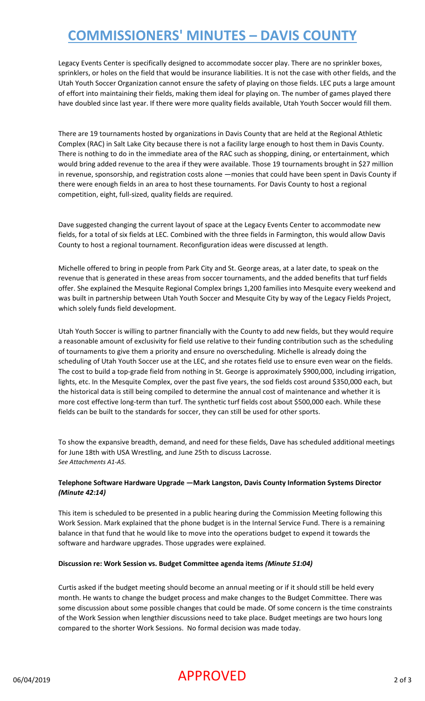# **COMMISSIONERS' MINUTES – DAVIS COUNTY**

Legacy Events Center is specifically designed to accommodate soccer play. There are no sprinkler boxes, sprinklers, or holes on the field that would be insurance liabilities. It is not the case with other fields, and the Utah Youth Soccer Organization cannot ensure the safety of playing on those fields. LEC puts a large amount of effort into maintaining their fields, making them ideal for playing on. The number of games played there have doubled since last year. If there were more quality fields available, Utah Youth Soccer would fill them.

There are 19 tournaments hosted by organizations in Davis County that are held at the Regional Athletic Complex (RAC) in Salt Lake City because there is not a facility large enough to host them in Davis County. There is nothing to do in the immediate area of the RAC such as shopping, dining, or entertainment, which would bring added revenue to the area if they were available. Those 19 tournaments brought in \$27 million in revenue, sponsorship, and registration costs alone —monies that could have been spent in Davis County if there were enough fields in an area to host these tournaments. For Davis County to host a regional competition, eight, full-sized, quality fields are required.

Dave suggested changing the current layout of space at the Legacy Events Center to accommodate new fields, for a total of six fields at LEC. Combined with the three fields in Farmington, this would allow Davis County to host a regional tournament. Reconfiguration ideas were discussed at length.

Michelle offered to bring in people from Park City and St. George areas, at a later date, to speak on the revenue that is generated in these areas from soccer tournaments, and the added benefits that turf fields offer. She explained the Mesquite Regional Complex brings 1,200 families into Mesquite every weekend and was built in partnership between Utah Youth Soccer and Mesquite City by way of the Legacy Fields Project, which solely funds field development.

Utah Youth Soccer is willing to partner financially with the County to add new fields, but they would require a reasonable amount of exclusivity for field use relative to their funding contribution such as the scheduling of tournaments to give them a priority and ensure no overscheduling. Michelle is already doing the scheduling of Utah Youth Soccer use at the LEC, and she rotates field use to ensure even wear on the fields. The cost to build a top-grade field from nothing in St. George is approximately \$900,000, including irrigation, lights, etc. In the Mesquite Complex, over the past five years, the sod fields cost around \$350,000 each, but the historical data is still being compiled to determine the annual cost of maintenance and whether it is more cost effective long-term than turf. The synthetic turf fields cost about \$500,000 each. While these fields can be built to the standards for soccer, they can still be used for other sports.

To show the expansive breadth, demand, and need for these fields, Dave has scheduled additional meetings for June 18th with USA Wrestling, and June 25th to discuss Lacrosse. *See Attachments A1-A5.*

### **Telephone Software Hardware Upgrade —Mark Langston, Davis County Information Systems Director**  *(Minute 42:14)*

This item is scheduled to be presented in a public hearing during the Commission Meeting following this Work Session. Mark explained that the phone budget is in the Internal Service Fund. There is a remaining balance in that fund that he would like to move into the operations budget to expend it towards the software and hardware upgrades. Those upgrades were explained.

#### **Discussion re: Work Session vs. Budget Committee agenda items** *(Minute 51:04)*

Curtis asked if the budget meeting should become an annual meeting or if it should still be held every month. He wants to change the budget process and make changes to the Budget Committee. There was some discussion about some possible changes that could be made. Of some concern is the time constraints of the Work Session when lengthier discussions need to take place. Budget meetings are two hours long compared to the shorter Work Sessions. No formal decision was made today.

### $06/04/2019$   $\blacksquare$   $\blacksquare$   $\blacksquare$   $\blacksquare$   $\blacksquare$   $\blacksquare$   $\blacksquare$   $\blacksquare$   $\blacksquare$   $\blacksquare$   $\blacksquare$   $\blacksquare$   $\blacksquare$   $\blacksquare$   $\blacksquare$   $\blacksquare$   $\blacksquare$   $\blacksquare$   $\blacksquare$   $\blacksquare$   $\blacksquare$   $\blacksquare$   $\blacksquare$   $\blacksquare$   $\blacksquare$   $\blacksquare$   $\blacksquare$   $\blacksquare$   $\blacksquare$   $\blacksquare$